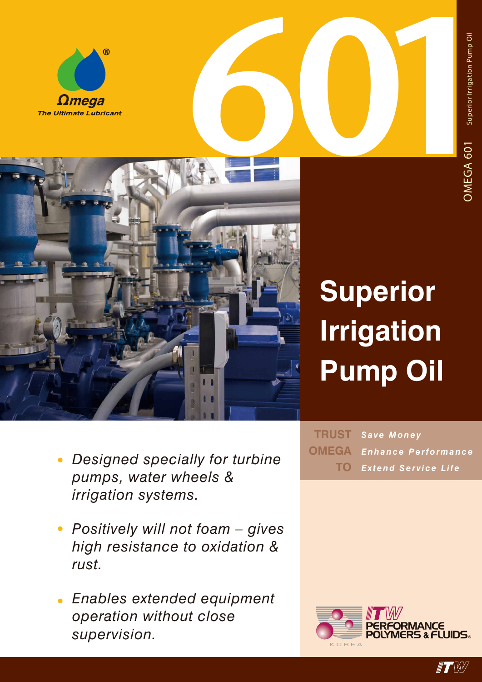



## **Superior Irrigation Pump Oil**

- *• Designed specially for turbine pumps, water wheels & irrigation systems.*
- *• Positively will not foam gives high resistance to oxidation & rust.*
- *• Enables extended equipment operation without close supervision.*

*Save Money Enhance Performance Extend Service Life* **TRUST OMEGA TO**



 $\blacksquare$